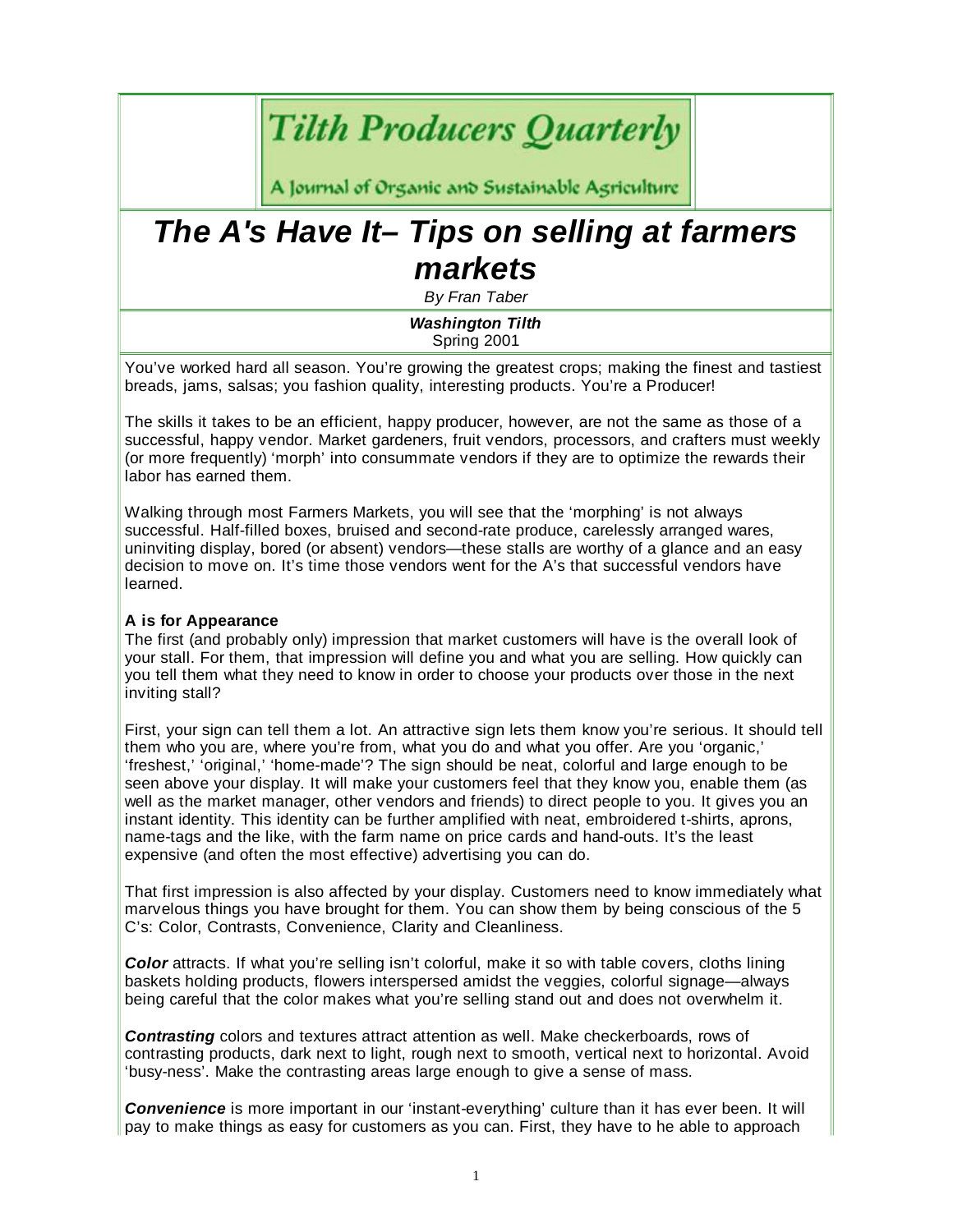# **Tilth Producers Quarterly**

A Journal of Organic and Sustainable Agriculture

# *The A's Have It– Tips on selling at farmers markets*

*By Fran Taber*

*Washington Tilth* Spring 2001

You've worked hard all season. You're growing the greatest crops; making the finest and tastiest breads, jams, salsas; you fashion quality, interesting products. You're a Producer!

The skills it takes to be an efficient, happy producer, however, are not the same as those of a successful, happy vendor. Market gardeners, fruit vendors, processors, and crafters must weekly (or more frequently) 'morph' into consummate vendors if they are to optimize the rewards their labor has earned them.

Walking through most Farmers Markets, you will see that the 'morphing' is not always successful. Half-filled boxes, bruised and second-rate produce, carelessly arranged wares, uninviting display, bored (or absent) vendors—these stalls are worthy of a glance and an easy decision to move on. It's time those vendors went for the A's that successful vendors have learned.

### **A is for Appearance**

The first (and probably only) impression that market customers will have is the overall look of your stall. For them, that impression will define you and what you are selling. How quickly can you tell them what they need to know in order to choose your products over those in the next inviting stall?

First, your sign can tell them a lot. An attractive sign lets them know you're serious. It should tell them who you are, where you're from, what you do and what you offer. Are you 'organic,' 'freshest,' 'original,' 'home-made'? The sign should be neat, colorful and large enough to be seen above your display. It will make your customers feel that they know you, enable them (as well as the market manager, other vendors and friends) to direct people to you. It gives you an instant identity. This identity can be further amplified with neat, embroidered t-shirts, aprons, name-tags and the like, with the farm name on price cards and hand-outs. It's the least expensive (and often the most effective) advertising you can do.

That first impression is also affected by your display. Customers need to know immediately what marvelous things you have brought for them. You can show them by being conscious of the 5 C's: Color, Contrasts, Convenience, Clarity and Cleanliness.

*Color* attracts. If what you're selling isn't colorful, make it so with table covers, cloths lining baskets holding products, flowers interspersed amidst the veggies, colorful signage—always being careful that the color makes what you're selling stand out and does not overwhelm it.

*Contrasting* colors and textures attract attention as well. Make checkerboards, rows of contrasting products, dark next to light, rough next to smooth, vertical next to horizontal. Avoid 'busy-ness'. Make the contrasting areas large enough to give a sense of mass.

*Convenience* is more important in our 'instant-everything' culture than it has ever been. It will pay to make things as easy for customers as you can. First, they have to he able to approach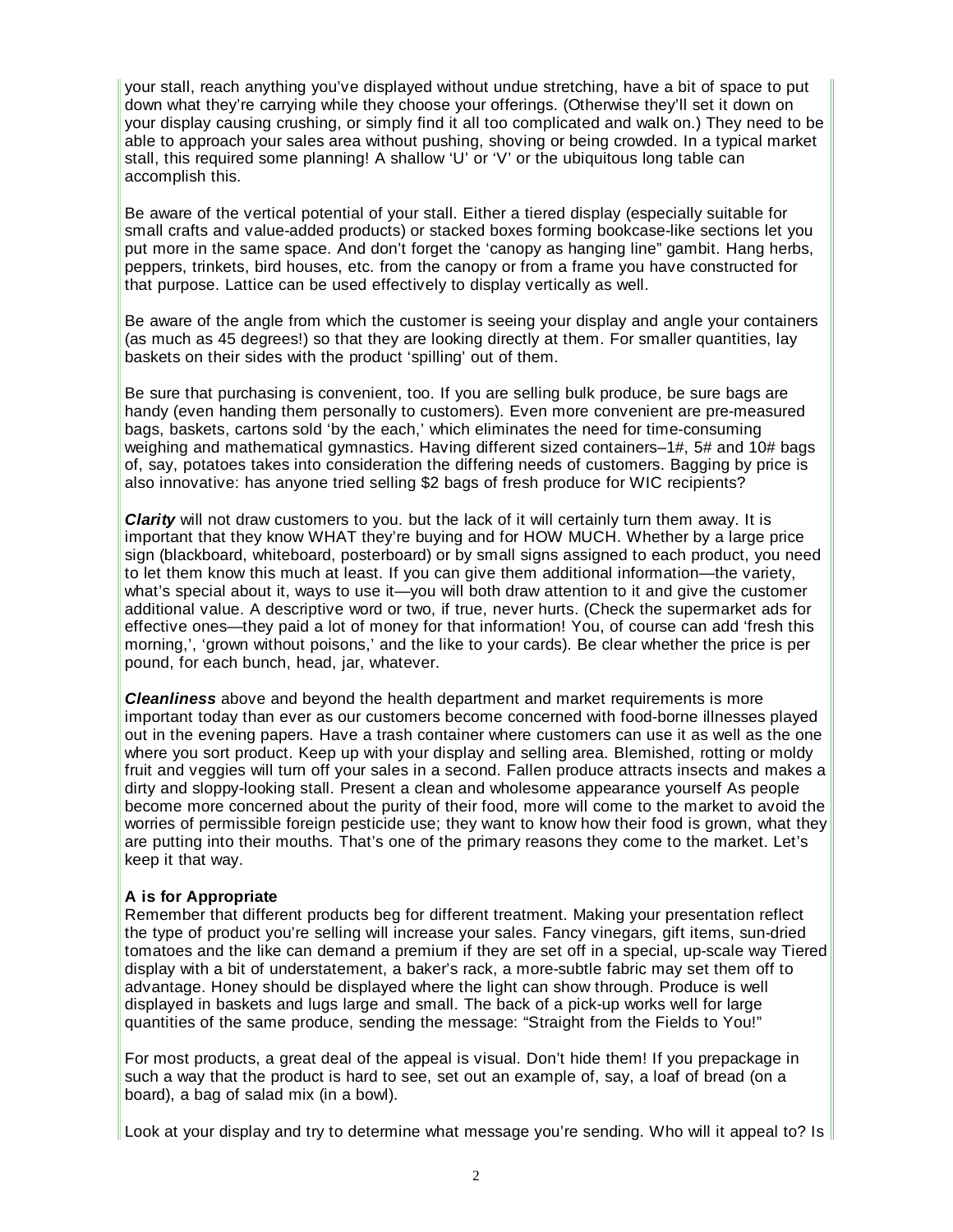your stall, reach anything you've displayed without undue stretching, have a bit of space to put down what they're carrying while they choose your offerings. (Otherwise they'll set it down on your display causing crushing, or simply find it all too complicated and walk on.) They need to be able to approach your sales area without pushing, shoving or being crowded. In a typical market stall, this required some planning! A shallow 'U' or 'V' or the ubiquitous long table can accomplish this.

Be aware of the vertical potential of your stall. Either a tiered display (especially suitable for small crafts and value-added products) or stacked boxes forming bookcase-like sections let you put more in the same space. And don't forget the 'canopy as hanging line" gambit. Hang herbs, peppers, trinkets, bird houses, etc. from the canopy or from a frame you have constructed for that purpose. Lattice can be used effectively to display vertically as well.

Be aware of the angle from which the customer is seeing your display and angle your containers (as much as 45 degrees!) so that they are looking directly at them. For smaller quantities, lay baskets on their sides with the product 'spilling' out of them.

Be sure that purchasing is convenient, too. If you are selling bulk produce, be sure bags are handy (even handing them personally to customers). Even more convenient are pre-measured bags, baskets, cartons sold 'by the each,' which eliminates the need for time-consuming weighing and mathematical gymnastics. Having different sized containers–1#, 5# and 10# bags of, say, potatoes takes into consideration the differing needs of customers. Bagging by price is also innovative: has anyone tried selling \$2 bags of fresh produce for WIC recipients?

*Clarity* will not draw customers to you. but the lack of it will certainly turn them away. It is important that they know WHAT they're buying and for HOW MUCH. Whether by a large price sign (blackboard, whiteboard, posterboard) or by small signs assigned to each product, you need to let them know this much at least. If you can give them additional information—the variety, what's special about it, ways to use it—you will both draw attention to it and give the customer additional value. A descriptive word or two, if true, never hurts. (Check the supermarket ads for effective ones—they paid a lot of money for that information! You, of course can add 'fresh this morning,', 'grown without poisons,' and the like to your cards). Be clear whether the price is per pound, for each bunch, head, jar, whatever.

*Cleanliness* above and beyond the health department and market requirements is more important today than ever as our customers become concerned with food-borne illnesses played out in the evening papers. Have a trash container where customers can use it as well as the one where you sort product. Keep up with your display and selling area. Blemished, rotting or moldy fruit and veggies will turn off your sales in a second. Fallen produce attracts insects and makes a dirty and sloppy-looking stall. Present a clean and wholesome appearance yourself As people become more concerned about the purity of their food, more will come to the market to avoid the worries of permissible foreign pesticide use; they want to know how their food is grown, what they are putting into their mouths. That's one of the primary reasons they come to the market. Let's keep it that way.

#### **A is for Appropriate**

Remember that different products beg for different treatment. Making your presentation reflect the type of product you're selling will increase your sales. Fancy vinegars, gift items, sun-dried tomatoes and the like can demand a premium if they are set off in a special, up-scale way Tiered display with a bit of understatement, a baker's rack, a more-subtle fabric may set them off to advantage. Honey should be displayed where the light can show through. Produce is well displayed in baskets and lugs large and small. The back of a pick-up works well for large quantities of the same produce, sending the message: "Straight from the Fields to You!"

For most products, a great deal of the appeal is visual. Don't hide them! If you prepackage in such a way that the product is hard to see, set out an example of, say, a loaf of bread (on a board), a bag of salad mix (in a bowl).

Look at your display and try to determine what message you're sending. Who will it appeal to? Is